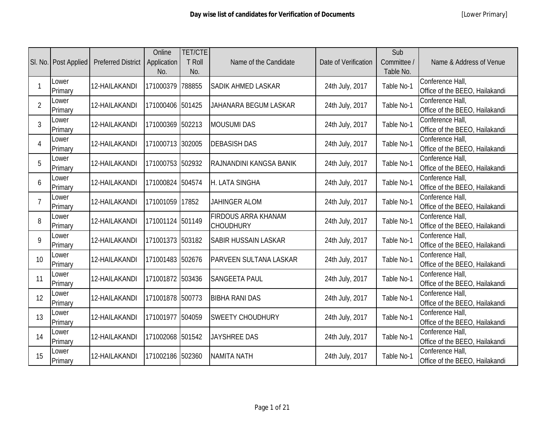|                | SI. No.   Post Applied | <b>Preferred District</b> | Online<br>Application<br>No. | <b>TET/CTE</b><br>T Roll<br>No. | Name of the Candidate                          | Date of Verification | Sub<br>Committee /<br>Table No. | Name & Address of Venue                            |
|----------------|------------------------|---------------------------|------------------------------|---------------------------------|------------------------------------------------|----------------------|---------------------------------|----------------------------------------------------|
|                | Lower<br>Primary       | 12-HAILAKANDI             | 171000379                    | 788855                          | <b>SADIK AHMED LASKAR</b>                      | 24th July, 2017      | Table No-1                      | Conference Hall,<br>Office of the BEEO, Hailakandi |
| $\overline{2}$ | Lower<br>Primary       | 12-HAILAKANDI             | 171000406 501425             |                                 | JAHANARA BEGUM LASKAR                          | 24th July, 2017      | Table No-1                      | Conference Hall,<br>Office of the BEEO, Hailakandi |
| 3              | Lower<br>Primary       | 12-HAILAKANDI             | 171000369 502213             |                                 | <b>MOUSUMI DAS</b>                             | 24th July, 2017      | Table No-1                      | Conference Hall,<br>Office of the BEEO, Hailakandi |
| 4              | Lower<br>Primary       | 12-HAILAKANDI             | 171000713 302005             |                                 | <b>DEBASISH DAS</b>                            | 24th July, 2017      | Table No-1                      | Conference Hall,<br>Office of the BEEO, Hailakandi |
| 5              | Lower<br>Primary       | 12-HAILAKANDI             | 171000753 502932             |                                 | RAJNANDINI KANGSA BANIK                        | 24th July, 2017      | Table No-1                      | Conference Hall,<br>Office of the BEEO, Hailakandi |
| 6              | Lower<br>Primary       | 12-HAILAKANDI             | 171000824 504574             |                                 | H. LATA SINGHA                                 | 24th July, 2017      | Table No-1                      | Conference Hall,<br>Office of the BEEO, Hailakandi |
| 7              | Lower<br>Primary       | 12-HAILAKANDI             | 171001059 17852              |                                 | <b>JAHINGER ALOM</b>                           | 24th July, 2017      | Table No-1                      | Conference Hall,<br>Office of the BEEO, Hailakandi |
| 8              | Lower<br>Primary       | 12-HAILAKANDI             | 171001124 501149             |                                 | <b>FIRDOUS ARRA KHANAM</b><br><b>CHOUDHURY</b> | 24th July, 2017      | Table No-1                      | Conference Hall,<br>Office of the BEEO, Hailakandi |
| 9              | Lower<br>Primary       | 12-HAILAKANDI             | 171001373 503182             |                                 | <b>SABIR HUSSAIN LASKAR</b>                    | 24th July, 2017      | Table No-1                      | Conference Hall,<br>Office of the BEEO, Hailakandi |
| 10             | Lower<br>Primary       | 12-HAILAKANDI             | 171001483 502676             |                                 | <b>PARVEEN SULTANA LASKAR</b>                  | 24th July, 2017      | Table No-1                      | Conference Hall,<br>Office of the BEEO, Hailakandi |
| 11             | Lower<br>Primary       | 12-HAILAKANDI             | 171001872 503436             |                                 | <b>SANGEETA PAUL</b>                           | 24th July, 2017      | Table No-1                      | Conference Hall,<br>Office of the BEEO, Hailakandi |
| 12             | Lower<br>Primary       | 12-HAILAKANDI             | 171001878 500773             |                                 | <b>BIBHA RANI DAS</b>                          | 24th July, 2017      | Table No-1                      | Conference Hall,<br>Office of the BEEO, Hailakandi |
| 13             | Lower<br>Primary       | 12-HAILAKANDI             | 171001977 504059             |                                 | <b>SWEETY CHOUDHURY</b>                        | 24th July, 2017      | Table No-1                      | Conference Hall,<br>Office of the BEEO, Hailakandi |
| 14             | Lower<br>Primary       | 12-HAILAKANDI             | 171002068 501542             |                                 | <b>JAYSHREE DAS</b>                            | 24th July, 2017      | Table No-1                      | Conference Hall,<br>Office of the BEEO, Hailakandi |
| 15             | Lower<br>Primary       | 12-HAILAKANDI             | 171002186 502360             |                                 | <b>NAMITA NATH</b>                             | 24th July, 2017      | Table No-1                      | Conference Hall,<br>Office of the BEEO, Hailakandi |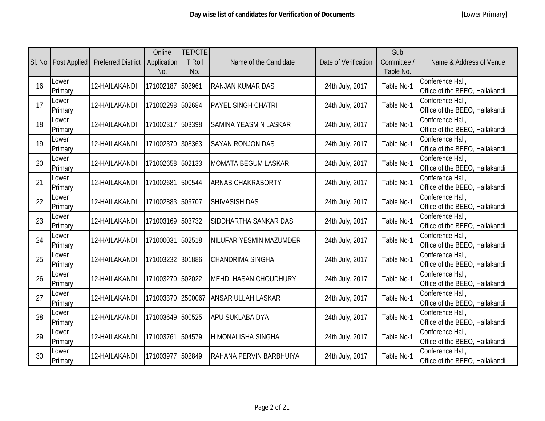|    | SI. No.   Post Applied | <b>Preferred District</b> | Online<br>Application<br>No. | <b>TET/CTE</b><br><b>T Roll</b><br>No. | Name of the Candidate        | Date of Verification | Sub<br>Committee /<br>Table No. | Name & Address of Venue                            |
|----|------------------------|---------------------------|------------------------------|----------------------------------------|------------------------------|----------------------|---------------------------------|----------------------------------------------------|
| 16 | Lower<br>Primary       | 12-HAILAKANDI             | 171002187                    | 502961                                 | <b>RANJAN KUMAR DAS</b>      | 24th July, 2017      | Table No-1                      | Conference Hall,<br>Office of the BEEO, Hailakandi |
| 17 | Lower<br>Primary       | 12-HAILAKANDI             | 171002298                    | 502684                                 | <b>PAYEL SINGH CHATRI</b>    | 24th July, 2017      | Table No-1                      | Conference Hall,<br>Office of the BEEO, Hailakandi |
| 18 | Lower<br>Primary       | 12-HAILAKANDI             | 171002317                    | 503398                                 | <b>SAMINA YEASMIN LASKAR</b> | 24th July, 2017      | Table No-1                      | Conference Hall,<br>Office of the BEEO, Hailakandi |
| 19 | Lower<br>Primary       | 12-HAILAKANDI             | 171002370 308363             |                                        | <b>SAYAN RONJON DAS</b>      | 24th July, 2017      | Table No-1                      | Conference Hall,<br>Office of the BEEO, Hailakandi |
| 20 | Lower<br>Primary       | 12-HAILAKANDI             | 171002658 502133             |                                        | <b>MOMATA BEGUM LASKAR</b>   | 24th July, 2017      | Table No-1                      | Conference Hall,<br>Office of the BEEO, Hailakandi |
| 21 | Lower<br>Primary       | 12-HAILAKANDI             | 171002681                    | 500544                                 | <b>ARNAB CHAKRABORTY</b>     | 24th July, 2017      | Table No-1                      | Conference Hall,<br>Office of the BEEO, Hailakandi |
| 22 | Lower<br>Primary       | 12-HAILAKANDI             | 171002883 503707             |                                        | <b>SHIVASISH DAS</b>         | 24th July, 2017      | Table No-1                      | Conference Hall,<br>Office of the BEEO, Hailakandi |
| 23 | Lower<br>Primary       | 12-HAILAKANDI             | 171003169 503732             |                                        | SIDDHARTHA SANKAR DAS        | 24th July, 2017      | Table No-1                      | Conference Hall,<br>Office of the BEEO, Hailakandi |
| 24 | Lower<br>Primary       | 12-HAILAKANDI             | 171000031                    | 502518                                 | NILUFAR YESMIN MAZUMDER      | 24th July, 2017      | Table No-1                      | Conference Hall,<br>Office of the BEEO, Hailakandi |
| 25 | Lower<br>Primary       | 12-HAILAKANDI             | 171003232 301886             |                                        | <b>CHANDRIMA SINGHA</b>      | 24th July, 2017      | Table No-1                      | Conference Hall,<br>Office of the BEEO, Hailakandi |
| 26 | Lower<br>Primary       | 12-HAILAKANDI             | 171003270                    | 502022                                 | <b>MEHDI HASAN CHOUDHURY</b> | 24th July, 2017      | Table No-1                      | Conference Hall,<br>Office of the BEEO, Hailakandi |
| 27 | Lower<br>Primary       | 12-HAILAKANDI             | 171003370 2500067            |                                        | <b>ANSAR ULLAH LASKAR</b>    | 24th July, 2017      | Table No-1                      | Conference Hall,<br>Office of the BEEO, Hailakandi |
| 28 | Lower<br>Primary       | 12-HAILAKANDI             | 171003649                    | 500525                                 | APU SUKLABAIDYA              | 24th July, 2017      | Table No-1                      | Conference Hall,<br>Office of the BEEO, Hailakandi |
| 29 | Lower<br>Primary       | 12-HAILAKANDI             | 171003761                    | 504579                                 | H MONALISHA SINGHA           | 24th July, 2017      | Table No-1                      | Conference Hall,<br>Office of the BEEO, Hailakandi |
| 30 | Lower<br>Primary       | 12-HAILAKANDI             | 171003977                    | 502849                                 | RAHANA PERVIN BARBHUIYA      | 24th July, 2017      | Table No-1                      | Conference Hall,<br>Office of the BEEO, Hailakandi |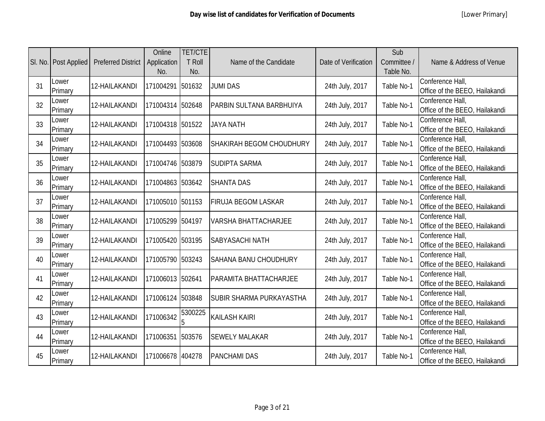|    | SI. No.   Post Applied | <b>Preferred District</b> | Online<br>Application<br>No. | <b>TET/CTE</b><br>T Roll<br>No. | Name of the Candidate           | Date of Verification | Sub<br>Committee /<br>Table No. | Name & Address of Venue                            |
|----|------------------------|---------------------------|------------------------------|---------------------------------|---------------------------------|----------------------|---------------------------------|----------------------------------------------------|
| 31 | Lower<br>Primary       | 12-HAILAKANDI             | 171004291                    | 501632                          | <b>JUMI DAS</b>                 | 24th July, 2017      | Table No-1                      | Conference Hall,<br>Office of the BEEO, Hailakandi |
| 32 | Lower<br>Primary       | 12-HAILAKANDI             | 171004314 502648             |                                 | <b>PARBIN SULTANA BARBHUIYA</b> | 24th July, 2017      | Table No-1                      | Conference Hall,<br>Office of the BEEO, Hailakandi |
| 33 | Lower<br>Primary       | 12-HAILAKANDI             | 171004318 501522             |                                 | <b>JAYA NATH</b>                | 24th July, 2017      | Table No-1                      | Conference Hall,<br>Office of the BEEO, Hailakandi |
| 34 | Lower<br>Primary       | 12-HAILAKANDI             | 171004493 503608             |                                 | <b>SHAKIRAH BEGOM CHOUDHURY</b> | 24th July, 2017      | Table No-1                      | Conference Hall,<br>Office of the BEEO, Hailakandi |
| 35 | Lower<br>Primary       | 12-HAILAKANDI             | 171004746 503879             |                                 | <b>SUDIPTA SARMA</b>            | 24th July, 2017      | Table No-1                      | Conference Hall,<br>Office of the BEEO, Hailakandi |
| 36 | Lower<br>Primary       | 12-HAILAKANDI             | 171004863 503642             |                                 | <b>SHANTA DAS</b>               | 24th July, 2017      | Table No-1                      | Conference Hall,<br>Office of the BEEO, Hailakandi |
| 37 | Lower<br>Primary       | 12-HAILAKANDI             | 171005010 501153             |                                 | <b>FIRUJA BEGOM LASKAR</b>      | 24th July, 2017      | Table No-1                      | Conference Hall,<br>Office of the BEEO, Hailakandi |
| 38 | Lower<br>Primary       | 12-HAILAKANDI             | 171005299 504197             |                                 | <b>VARSHA BHATTACHARJEE</b>     | 24th July, 2017      | Table No-1                      | Conference Hall,<br>Office of the BEEO, Hailakandi |
| 39 | Lower<br>Primary       | 12-HAILAKANDI             | 171005420 503195             |                                 | SABYASACHI NATH                 | 24th July, 2017      | Table No-1                      | Conference Hall,<br>Office of the BEEO, Hailakandi |
| 40 | Lower<br>Primary       | 12-HAILAKANDI             | 171005790 503243             |                                 | <b>SAHANA BANU CHOUDHURY</b>    | 24th July, 2017      | Table No-1                      | Conference Hall,<br>Office of the BEEO, Hailakandi |
| 41 | Lower<br>Primary       | 12-HAILAKANDI             | 171006013 502641             |                                 | <b>PARAMITA BHATTACHARJEE</b>   | 24th July, 2017      | Table No-1                      | Conference Hall,<br>Office of the BEEO, Hailakandi |
| 42 | Lower<br>Primary       | 12-HAILAKANDI             | 171006124 503848             |                                 | <b>SUBIR SHARMA PURKAYASTHA</b> | 24th July, 2017      | Table No-1                      | Conference Hall,<br>Office of the BEEO, Hailakandi |
| 43 | Lower<br>Primary       | 12-HAILAKANDI             | 171006342                    | 5300225<br>5                    | <b>KAILASH KAIRI</b>            | 24th July, 2017      | Table No-1                      | Conference Hall,<br>Office of the BEEO, Hailakandi |
| 44 | Lower<br>Primary       | 12-HAILAKANDI             | 171006351                    | 503576                          | <b>SEWELY MALAKAR</b>           | 24th July, 2017      | Table No-1                      | Conference Hall,<br>Office of the BEEO, Hailakandi |
| 45 | Lower<br>Primary       | 12-HAILAKANDI             | 171006678 404278             |                                 | <b>PANCHAMI DAS</b>             | 24th July, 2017      | Table No-1                      | Conference Hall,<br>Office of the BEEO, Hailakandi |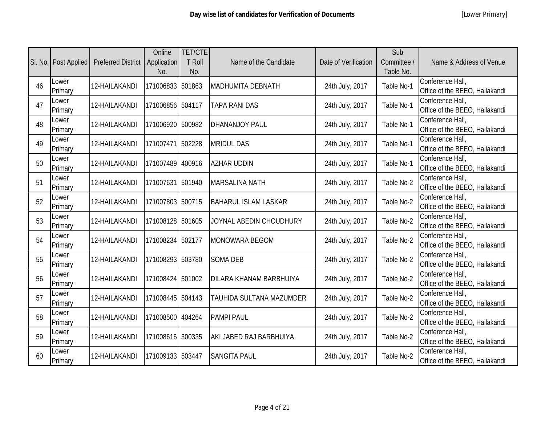|    | SI. No.   Post Applied | <b>Preferred District</b> | Online<br>Application<br>No. | <b>TET/CTE</b><br>T Roll<br>No. | Name of the Candidate    | Date of Verification | Sub<br>Committee /<br>Table No. | Name & Address of Venue                            |
|----|------------------------|---------------------------|------------------------------|---------------------------------|--------------------------|----------------------|---------------------------------|----------------------------------------------------|
| 46 | Lower<br>Primary       | 12-HAILAKANDI             | 171006833 501863             |                                 | <b>MADHUMITA DEBNATH</b> | 24th July, 2017      | Table No-1                      | Conference Hall,<br>Office of the BEEO, Hailakandi |
| 47 | Lower<br>Primary       | 12-HAILAKANDI             | 171006856 504117             |                                 | <b>TAPA RANI DAS</b>     | 24th July, 2017      | Table No-1                      | Conference Hall,<br>Office of the BEEO, Hailakandi |
| 48 | Lower<br>Primary       | 12-HAILAKANDI             | 171006920 500982             |                                 | <b>DHANANJOY PAUL</b>    | 24th July, 2017      | Table No-1                      | Conference Hall,<br>Office of the BEEO, Hailakandi |
| 49 | Lower<br>Primary       | 12-HAILAKANDI             | 171007471 502228             |                                 | <b>MRIDUL DAS</b>        | 24th July, 2017      | Table No-1                      | Conference Hall,<br>Office of the BEEO, Hailakandi |
| 50 | Lower<br>Primary       | 12-HAILAKANDI             | 171007489 400916             |                                 | <b>AZHAR UDDIN</b>       | 24th July, 2017      | Table No-1                      | Conference Hall,<br>Office of the BEEO, Hailakandi |
| 51 | Lower<br>Primary       | 12-HAILAKANDI             | 171007631 501940             |                                 | <b>MARSALINA NATH</b>    | 24th July, 2017      | Table No-2                      | Conference Hall,<br>Office of the BEEO, Hailakandi |
| 52 | Lower<br>Primary       | 12-HAILAKANDI             | 171007803 500715             |                                 | BAHARUL ISLAM LASKAR     | 24th July, 2017      | Table No-2                      | Conference Hall,<br>Office of the BEEO, Hailakandi |
| 53 | Lower<br>Primary       | 12-HAILAKANDI             | 171008128 501605             |                                 | JOYNAL ABEDIN CHOUDHURY  | 24th July, 2017      | Table No-2                      | Conference Hall,<br>Office of the BEEO, Hailakandi |
| 54 | Lower<br>Primary       | 12-HAILAKANDI             | 171008234 502177             |                                 | <b>MONOWARA BEGOM</b>    | 24th July, 2017      | Table No-2                      | Conference Hall,<br>Office of the BEEO, Hailakandi |
| 55 | Lower<br>Primary       | 12-HAILAKANDI             | 171008293 503780             |                                 | <b>SOMA DEB</b>          | 24th July, 2017      | Table No-2                      | Conference Hall,<br>Office of the BEEO, Hailakandi |
| 56 | Lower<br>Primary       | 12-HAILAKANDI             | 171008424                    | 501002                          | DILARA KHANAM BARBHUIYA  | 24th July, 2017      | Table No-2                      | Conference Hall,<br>Office of the BEEO, Hailakandi |
| 57 | Lower<br>Primary       | 12-HAILAKANDI             | 171008445 504143             |                                 | TAUHIDA SULTANA MAZUMDER | 24th July, 2017      | Table No-2                      | Conference Hall,<br>Office of the BEEO, Hailakandi |
| 58 | Lower<br>Primary       | 12-HAILAKANDI             | 171008500 404264             |                                 | <b>PAMPI PAUL</b>        | 24th July, 2017      | Table No-2                      | Conference Hall,<br>Office of the BEEO, Hailakandi |
| 59 | Lower<br>Primary       | 12-HAILAKANDI             | 171008616 300335             |                                 | AKI JABED RAJ BARBHUIYA  | 24th July, 2017      | Table No-2                      | Conference Hall,<br>Office of the BEEO, Hailakandi |
| 60 | Lower<br>Primary       | 12-HAILAKANDI             | 171009133 503447             |                                 | <b>SANGITA PAUL</b>      | 24th July, 2017      | Table No-2                      | Conference Hall,<br>Office of the BEEO, Hailakandi |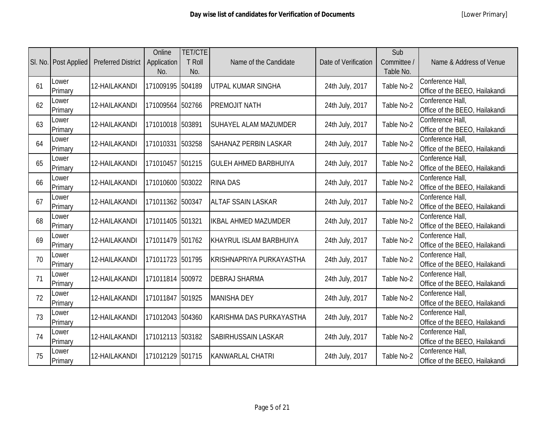|    | SI. No.   Post Applied | <b>Preferred District</b> | Online<br>Application<br>No. | <b>TET/CTE</b><br>T Roll<br>No. | Name of the Candidate        | Date of Verification | Sub<br>Committee /<br>Table No. | Name & Address of Venue                            |
|----|------------------------|---------------------------|------------------------------|---------------------------------|------------------------------|----------------------|---------------------------------|----------------------------------------------------|
| 61 | Lower<br>Primary       | 12-HAILAKANDI             | 171009195                    | 504189                          | <b>IUTPAL KUMAR SINGHA</b>   | 24th July, 2017      | Table No-2                      | Conference Hall,<br>Office of the BEEO, Hailakandi |
| 62 | Lower<br>Primary       | 12-HAILAKANDI             | 171009564 502766             |                                 | <b>PREMOJIT NATH</b>         | 24th July, 2017      | Table No-2                      | Conference Hall,<br>Office of the BEEO, Hailakandi |
| 63 | Lower<br>Primary       | 12-HAILAKANDI             | 171010018 503891             |                                 | <b>SUHAYEL ALAM MAZUMDER</b> | 24th July, 2017      | Table No-2                      | Conference Hall,<br>Office of the BEEO, Hailakandi |
| 64 | Lower<br>Primary       | 12-HAILAKANDI             | 171010331 503258             |                                 | <b>SAHANAZ PERBIN LASKAR</b> | 24th July, 2017      | Table No-2                      | Conference Hall,<br>Office of the BEEO, Hailakandi |
| 65 | Lower<br>Primary       | 12-HAILAKANDI             | 171010457                    | 501215                          | <b>GULEH AHMED BARBHUIYA</b> | 24th July, 2017      | Table No-2                      | Conference Hall,<br>Office of the BEEO, Hailakandi |
| 66 | Lower<br>Primary       | 12-HAILAKANDI             | 171010600 503022             |                                 | <b>RINA DAS</b>              | 24th July, 2017      | Table No-2                      | Conference Hall,<br>Office of the BEEO, Hailakandi |
| 67 | Lower<br>Primary       | 12-HAILAKANDI             | 171011362 500347             |                                 | <b>ALTAF SSAIN LASKAR</b>    | 24th July, 2017      | Table No-2                      | Conference Hall,<br>Office of the BEEO, Hailakandi |
| 68 | Lower<br>Primary       | 12-HAILAKANDI             | 171011405 501321             |                                 | <b>IKBAL AHMED MAZUMDER</b>  | 24th July, 2017      | Table No-2                      | Conference Hall,<br>Office of the BEEO, Hailakandi |
| 69 | Lower<br>Primary       | 12-HAILAKANDI             | 171011479 501762             |                                 | KHAYRUL ISLAM BARBHUIYA      | 24th July, 2017      | Table No-2                      | Conference Hall,<br>Office of the BEEO, Hailakandi |
| 70 | Lower<br>Primary       | 12-HAILAKANDI             | 171011723 501795             |                                 | KRISHNAPRIYA PURKAYASTHA     | 24th July, 2017      | Table No-2                      | Conference Hall,<br>Office of the BEEO, Hailakandi |
| 71 | Lower<br>Primary       | 12-HAILAKANDI             | 171011814 500972             |                                 | <b>DEBRAJ SHARMA</b>         | 24th July, 2017      | Table No-2                      | Conference Hall,<br>Office of the BEEO, Hailakandi |
| 72 | Lower<br>Primary       | 12-HAILAKANDI             | 171011847                    | 501925                          | <b>MANISHA DEY</b>           | 24th July, 2017      | Table No-2                      | Conference Hall,<br>Office of the BEEO, Hailakandi |
| 73 | Lower<br>Primary       | 12-HAILAKANDI             | 171012043                    | 504360                          | KARISHMA DAS PURKAYASTHA     | 24th July, 2017      | Table No-2                      | Conference Hall,<br>Office of the BEEO, Hailakandi |
| 74 | Lower<br>Primary       | 12-HAILAKANDI             | 171012113 503182             |                                 | <b>SABIRHUSSAIN LASKAR</b>   | 24th July, 2017      | Table No-2                      | Conference Hall,<br>Office of the BEEO, Hailakandi |
| 75 | Lower<br>Primary       | 12-HAILAKANDI             | 171012129 501715             |                                 | <b>KANWARLAL CHATRI</b>      | 24th July, 2017      | Table No-2                      | Conference Hall,<br>Office of the BEEO, Hailakandi |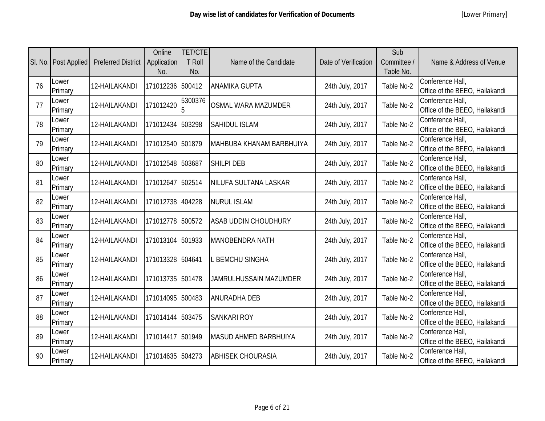|    | SI. No.   Post Applied | <b>Preferred District</b> | Online<br>Application<br>No. | <b>TET/CTE</b><br><b>T Roll</b><br>No. | Name of the Candidate        | Date of Verification | Sub<br>Committee /<br>Table No. | Name & Address of Venue                            |
|----|------------------------|---------------------------|------------------------------|----------------------------------------|------------------------------|----------------------|---------------------------------|----------------------------------------------------|
| 76 | Lower<br>Primary       | 12-HAILAKANDI             | 171012236                    | 500412                                 | <b>ANAMIKA GUPTA</b>         | 24th July, 2017      | Table No-2                      | Conference Hall,<br>Office of the BEEO, Hailakandi |
| 77 | Lower<br>Primary       | 12-HAILAKANDI             | 171012420                    | 5300376                                | <b>OSMAL WARA MAZUMDER</b>   | 24th July, 2017      | Table No-2                      | Conference Hall,<br>Office of the BEEO, Hailakandi |
| 78 | Lower<br>Primary       | 12-HAILAKANDI             | 171012434                    | 503298                                 | <b>SAHIDUL ISLAM</b>         | 24th July, 2017      | Table No-2                      | Conference Hall,<br>Office of the BEEO, Hailakandi |
| 79 | Lower<br>Primary       | 12-HAILAKANDI             | 171012540 501879             |                                        | MAHBUBA KHANAM BARBHUIYA     | 24th July, 2017      | Table No-2                      | Conference Hall,<br>Office of the BEEO, Hailakandi |
| 80 | Lower<br>Primary       | 12-HAILAKANDI             | 171012548 503687             |                                        | <b>SHILPI DEB</b>            | 24th July, 2017      | Table No-2                      | Conference Hall,<br>Office of the BEEO, Hailakandi |
| 81 | Lower<br>Primary       | 12-HAILAKANDI             | 171012647                    | 502514                                 | NILUFA SULTANA LASKAR        | 24th July, 2017      | Table No-2                      | Conference Hall,<br>Office of the BEEO, Hailakandi |
| 82 | Lower<br>Primary       | 12-HAILAKANDI             | 171012738 404228             |                                        | <b>NURUL ISLAM</b>           | 24th July, 2017      | Table No-2                      | Conference Hall,<br>Office of the BEEO, Hailakandi |
| 83 | Lower<br>Primary       | 12-HAILAKANDI             | 171012778 500572             |                                        | <b>ASAB UDDIN CHOUDHURY</b>  | 24th July, 2017      | Table No-2                      | Conference Hall,<br>Office of the BEEO, Hailakandi |
| 84 | Lower<br>Primary       | 12-HAILAKANDI             | 171013104 501933             |                                        | <b>MANOBENDRA NATH</b>       | 24th July, 2017      | Table No-2                      | Conference Hall,<br>Office of the BEEO, Hailakandi |
| 85 | Lower<br>Primary       | 12-HAILAKANDI             | 171013328 504641             |                                        | <b>BEMCHU SINGHA</b>         | 24th July, 2017      | Table No-2                      | Conference Hall,<br>Office of the BEEO, Hailakandi |
| 86 | Lower<br>Primary       | 12-HAILAKANDI             | 171013735 501478             |                                        | JAMRULHUSSAIN MAZUMDER       | 24th July, 2017      | Table No-2                      | Conference Hall,<br>Office of the BEEO, Hailakandi |
| 87 | Lower<br>Primary       | 12-HAILAKANDI             | 171014095 500483             |                                        | <b>ANURADHA DEB</b>          | 24th July, 2017      | Table No-2                      | Conference Hall,<br>Office of the BEEO, Hailakandi |
| 88 | Lower<br>Primary       | 12-HAILAKANDI             | 171014144                    | 503475                                 | <b>SANKARI ROY</b>           | 24th July, 2017      | Table No-2                      | Conference Hall,<br>Office of the BEEO, Hailakandi |
| 89 | Lower<br>Primary       | 12-HAILAKANDI             | 171014417                    | 501949                                 | <b>MASUD AHMED BARBHUIYA</b> | 24th July, 2017      | Table No-2                      | Conference Hall,<br>Office of the BEEO, Hailakandi |
| 90 | Lower<br>Primary       | 12-HAILAKANDI             | 171014635                    | 504273                                 | <b>ABHISEK CHOURASIA</b>     | 24th July, 2017      | Table No-2                      | Conference Hall,<br>Office of the BEEO, Hailakandi |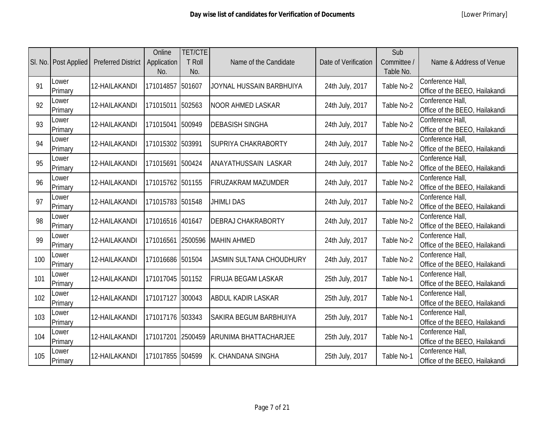|     | SI. No.   Post Applied | <b>Preferred District</b> | Online<br>Application<br>No. | <b>TET/CTE</b><br><b>T</b> Roll<br>No. | Name of the Candidate           | Date of Verification | Sub<br>Committee /<br>Table No. | Name & Address of Venue                            |
|-----|------------------------|---------------------------|------------------------------|----------------------------------------|---------------------------------|----------------------|---------------------------------|----------------------------------------------------|
| 91  | Lower<br>Primary       | 12-HAILAKANDI             | 171014857                    | 501607                                 | JOYNAL HUSSAIN BARBHUIYA        | 24th July, 2017      | Table No-2                      | Conference Hall,<br>Office of the BEEO, Hailakandi |
| 92  | Lower<br>Primary       | 12-HAILAKANDI             | 171015011                    | 502563                                 | <b>NOOR AHMED LASKAR</b>        | 24th July, 2017      | Table No-2                      | Conference Hall,<br>Office of the BEEO, Hailakandi |
| 93  | Lower<br>Primary       | 12-HAILAKANDI             | 171015041                    | 500949                                 | <b>DEBASISH SINGHA</b>          | 24th July, 2017      | Table No-2                      | Conference Hall,<br>Office of the BEEO, Hailakandi |
| 94  | Lower<br>Primary       | 12-HAILAKANDI             | 171015302 503991             |                                        | <b>SUPRIYA CHAKRABORTY</b>      | 24th July, 2017      | Table No-2                      | Conference Hall,<br>Office of the BEEO, Hailakandi |
| 95  | Lower<br>Primary       | 12-HAILAKANDI             | 171015691                    | 500424                                 | <b>ANAYATHUSSAIN LASKAR</b>     | 24th July, 2017      | Table No-2                      | Conference Hall,<br>Office of the BEEO, Hailakandi |
| 96  | Lower<br>Primary       | 12-HAILAKANDI             | 171015762 501155             |                                        | <b>FIRUZAKRAM MAZUMDER</b>      | 24th July, 2017      | Table No-2                      | Conference Hall,<br>Office of the BEEO, Hailakandi |
| 97  | Lower<br>Primary       | 12-HAILAKANDI             | 171015783 501548             |                                        | <b>JHIMLI DAS</b>               | 24th July, 2017      | Table No-2                      | Conference Hall,<br>Office of the BEEO, Hailakandi |
| 98  | Lower<br>Primary       | 12-HAILAKANDI             | 171016516 401647             |                                        | <b>DEBRAJ CHAKRABORTY</b>       | 24th July, 2017      | Table No-2                      | Conference Hall,<br>Office of the BEEO, Hailakandi |
| 99  | Lower<br>Primary       | 12-HAILAKANDI             |                              |                                        | 171016561 2500596 MAHIN AHMED   | 24th July, 2017      | Table No-2                      | Conference Hall,<br>Office of the BEEO, Hailakandi |
| 100 | Lower<br>Primary       | 12-HAILAKANDI             | 171016686 501504             |                                        | <b>JASMIN SULTANA CHOUDHURY</b> | 24th July, 2017      | Table No-2                      | Conference Hall,<br>Office of the BEEO, Hailakandi |
| 101 | Lower<br>Primary       | 12-HAILAKANDI             | 171017045                    | 501152                                 | <b>FIRUJA BEGAM LASKAR</b>      | 25th July, 2017      | Table No-1                      | Conference Hall,<br>Office of the BEEO, Hailakandi |
| 102 | Lower<br>Primary       | 12-HAILAKANDI             | 171017127                    | 300043                                 | <b>ABDUL KADIR LASKAR</b>       | 25th July, 2017      | Table No-1                      | Conference Hall,<br>Office of the BEEO, Hailakandi |
| 103 | Lower<br>Primary       | 12-HAILAKANDI             | 171017176 503343             |                                        | <b>SAKIRA BEGUM BARBHUIYA</b>   | 25th July, 2017      | Table No-1                      | Conference Hall,<br>Office of the BEEO, Hailakandi |
| 104 | Lower<br>Primary       | 12-HAILAKANDI             | 171017201                    | 2500459                                | <b>ARUNIMA BHATTACHARJEE</b>    | 25th July, 2017      | Table No-1                      | Conference Hall,<br>Office of the BEEO, Hailakandi |
| 105 | Lower<br>Primary       | 12-HAILAKANDI             | 171017855                    | 504599                                 | K. CHANDANA SINGHA              | 25th July, 2017      | Table No-1                      | Conference Hall,<br>Office of the BEEO, Hailakandi |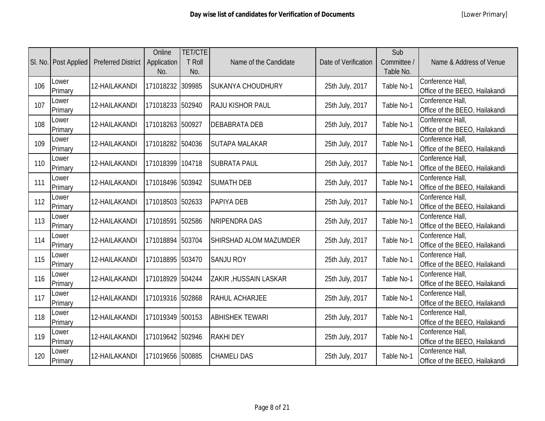|     | SI. No.   Post Applied | <b>Preferred District</b> | Online<br>Application<br>No. | <b>TET/CTE</b><br><b>T Roll</b><br>No. | Name of the Candidate         | Date of Verification | Sub<br>Committee /<br>Table No. | Name & Address of Venue                            |
|-----|------------------------|---------------------------|------------------------------|----------------------------------------|-------------------------------|----------------------|---------------------------------|----------------------------------------------------|
| 106 | Lower<br>Primary       | 12-HAILAKANDI             | 171018232                    | 309985                                 | <b>SUKANYA CHOUDHURY</b>      | 25th July, 2017      | Table No-1                      | Conference Hall,<br>Office of the BEEO, Hailakandi |
| 107 | Lower<br>Primary       | 12-HAILAKANDI             | 171018233 502940             |                                        | <b>RAJU KISHOR PAUL</b>       | 25th July, 2017      | Table No-1                      | Conference Hall,<br>Office of the BEEO, Hailakandi |
| 108 | Lower<br>Primary       | 12-HAILAKANDI             | 171018263 500927             |                                        | <b>DEBABRATA DEB</b>          | 25th July, 2017      | Table No-1                      | Conference Hall,<br>Office of the BEEO, Hailakandi |
| 109 | Lower<br>Primary       | 12-HAILAKANDI             | 171018282 504036             |                                        | <b>SUTAPA MALAKAR</b>         | 25th July, 2017      | Table No-1                      | Conference Hall,<br>Office of the BEEO, Hailakandi |
| 110 | Lower<br>Primary       | 12-HAILAKANDI             | 171018399 104718             |                                        | <b>SUBRATA PAUL</b>           | 25th July, 2017      | Table No-1                      | Conference Hall,<br>Office of the BEEO, Hailakandi |
| 111 | Lower<br>Primary       | 12-HAILAKANDI             | 171018496 503942             |                                        | <b>SUMATH DEB</b>             | 25th July, 2017      | Table No-1                      | Conference Hall,<br>Office of the BEEO, Hailakandi |
| 112 | Lower<br>Primary       | 12-HAILAKANDI             | 171018503 502633             |                                        | <b>PAPIYA DEB</b>             | 25th July, 2017      | Table No-1                      | Conference Hall,<br>Office of the BEEO, Hailakandi |
| 113 | Lower<br>Primary       | 12-HAILAKANDI             | 171018591 502586             |                                        | <b>NRIPENDRA DAS</b>          | 25th July, 2017      | Table No-1                      | Conference Hall,<br>Office of the BEEO, Hailakandi |
| 114 | Lower<br>Primary       | 12-HAILAKANDI             | 171018894 503704             |                                        | <b>SHIRSHAD ALOM MAZUMDER</b> | 25th July, 2017      | Table No-1                      | Conference Hall,<br>Office of the BEEO, Hailakandi |
| 115 | Lower<br>Primary       | 12-HAILAKANDI             | 171018895 503470             |                                        | <b>SANJU ROY</b>              | 25th July, 2017      | Table No-1                      | Conference Hall,<br>Office of the BEEO, Hailakandi |
| 116 | Lower<br>Primary       | 12-HAILAKANDI             | 171018929 504244             |                                        | ZAKIR, HUSSAIN LASKAR         | 25th July, 2017      | Table No-1                      | Conference Hall,<br>Office of the BEEO, Hailakandi |
| 117 | Lower<br>Primary       | 12-HAILAKANDI             | 171019316 502868             |                                        | <b>RAHUL ACHARJEE</b>         | 25th July, 2017      | Table No-1                      | Conference Hall,<br>Office of the BEEO, Hailakandi |
| 118 | Lower<br>Primary       | 12-HAILAKANDI             | 171019349 500153             |                                        | <b>ABHISHEK TEWARI</b>        | 25th July, 2017      | Table No-1                      | Conference Hall,<br>Office of the BEEO, Hailakandi |
| 119 | Lower<br>Primary       | 12-HAILAKANDI             | 171019642 502946             |                                        | <b>RAKHIDEY</b>               | 25th July, 2017      | Table No-1                      | Conference Hall,<br>Office of the BEEO, Hailakandi |
| 120 | Lower<br>Primary       | 12-HAILAKANDI             | 171019656 500885             |                                        | <b>CHAMELI DAS</b>            | 25th July, 2017      | Table No-1                      | Conference Hall,<br>Office of the BEEO, Hailakandi |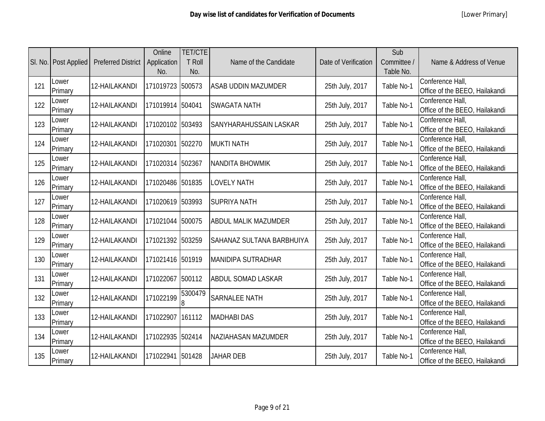|     | SI. No.   Post Applied | <b>Preferred District</b> | Online<br>Application<br>No. | <b>TET/CTE</b><br><b>T Roll</b><br>No. | Name of the Candidate         | Date of Verification | Sub<br>Committee /<br>Table No. | Name & Address of Venue                            |
|-----|------------------------|---------------------------|------------------------------|----------------------------------------|-------------------------------|----------------------|---------------------------------|----------------------------------------------------|
| 121 | Lower<br>Primary       | 12-HAILAKANDI             | 171019723                    | 500573                                 | <b>ASAB UDDIN MAZUMDER</b>    | 25th July, 2017      | Table No-1                      | Conference Hall,<br>Office of the BEEO, Hailakandi |
| 122 | Lower<br>Primary       | 12-HAILAKANDI             | 171019914 504041             |                                        | <b>SWAGATA NATH</b>           | 25th July, 2017      | Table No-1                      | Conference Hall,<br>Office of the BEEO, Hailakandi |
| 123 | Lower<br>Primary       | 12-HAILAKANDI             | 171020102                    | 503493                                 | <b>SANYHARAHUSSAIN LASKAR</b> | 25th July, 2017      | Table No-1                      | Conference Hall,<br>Office of the BEEO, Hailakandi |
| 124 | Lower<br>Primary       | 12-HAILAKANDI             | 171020301                    | 502270                                 | <b>MUKTI NATH</b>             | 25th July, 2017      | Table No-1                      | Conference Hall,<br>Office of the BEEO, Hailakandi |
| 125 | Lower<br>Primary       | 12-HAILAKANDI             | 171020314                    | 502367                                 | <b>NANDITA BHOWMIK</b>        | 25th July, 2017      | Table No-1                      | Conference Hall,<br>Office of the BEEO, Hailakandi |
| 126 | Lower<br>Primary       | 12-HAILAKANDI             | 171020486 501835             |                                        | <b>LOVELY NATH</b>            | 25th July, 2017      | Table No-1                      | Conference Hall,<br>Office of the BEEO, Hailakandi |
| 127 | Lower<br>Primary       | 12-HAILAKANDI             | 171020619 503993             |                                        | <b>SUPRIYA NATH</b>           | 25th July, 2017      | Table No-1                      | Conference Hall,<br>Office of the BEEO, Hailakandi |
| 128 | Lower<br>Primary       | 12-HAILAKANDI             | 171021044 500075             |                                        | <b>ABDUL MALIK MAZUMDER</b>   | 25th July, 2017      | Table No-1                      | Conference Hall,<br>Office of the BEEO, Hailakandi |
| 129 | Lower<br>Primary       | 12-HAILAKANDI             | 171021392 503259             |                                        | SAHANAZ SULTANA BARBHUIYA     | 25th July, 2017      | Table No-1                      | Conference Hall,<br>Office of the BEEO, Hailakandi |
| 130 | Lower<br>Primary       | 12-HAILAKANDI             | 171021416 501919             |                                        | <b>MANIDIPA SUTRADHAR</b>     | 25th July, 2017      | Table No-1                      | Conference Hall,<br>Office of the BEEO, Hailakandi |
| 131 | Lower<br>Primary       | 12-HAILAKANDI             | 171022067                    | 500112                                 | <b>ABDUL SOMAD LASKAR</b>     | 25th July, 2017      | Table No-1                      | Conference Hall,<br>Office of the BEEO, Hailakandi |
| 132 | Lower<br>Primary       | 12-HAILAKANDI             | 171022199                    | 5300479<br>$\boldsymbol{8}$            | <b>SARNALEE NATH</b>          | 25th July, 2017      | Table No-1                      | Conference Hall,<br>Office of the BEEO, Hailakandi |
| 133 | Lower<br>Primary       | 12-HAILAKANDI             | 171022907                    | 161112                                 | <b>MADHABI DAS</b>            | 25th July, 2017      | Table No-1                      | Conference Hall,<br>Office of the BEEO, Hailakandi |
| 134 | Lower<br>Primary       | 12-HAILAKANDI             | 171022935                    | 502414                                 | NAZIAHASAN MAZUMDER           | 25th July, 2017      | Table No-1                      | Conference Hall,<br>Office of the BEEO, Hailakandi |
| 135 | Lower<br>Primary       | 12-HAILAKANDI             | 171022941 501428             |                                        | <b>JAHAR DEB</b>              | 25th July, 2017      | Table No-1                      | Conference Hall,<br>Office of the BEEO, Hailakandi |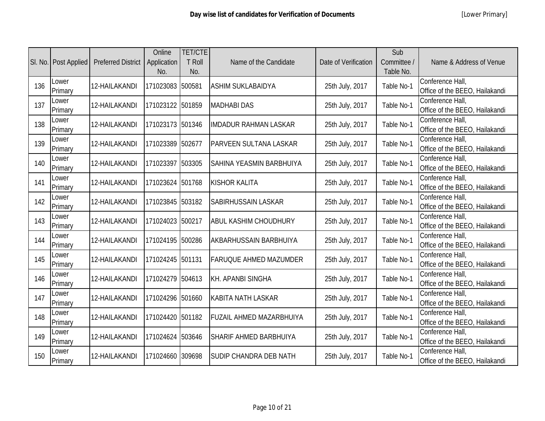|     | SI. No.   Post Applied | <b>Preferred District</b> | Online<br>Application<br>No. | <b>TET/CTE</b><br><b>T Roll</b><br>No. | Name of the Candidate           | Date of Verification | Sub<br>Committee /<br>Table No. | Name & Address of Venue                            |
|-----|------------------------|---------------------------|------------------------------|----------------------------------------|---------------------------------|----------------------|---------------------------------|----------------------------------------------------|
| 136 | Lower<br>Primary       | 12-HAILAKANDI             | 171023083                    | 500581                                 | <b>ASHIM SUKLABAIDYA</b>        | 25th July, 2017      | Table No-1                      | Conference Hall,<br>Office of the BEEO, Hailakandi |
| 137 | Lower<br>Primary       | 12-HAILAKANDI             | 171023122 501859             |                                        | <b>MADHABI DAS</b>              | 25th July, 2017      | Table No-1                      | Conference Hall,<br>Office of the BEEO, Hailakandi |
| 138 | Lower<br>Primary       | 12-HAILAKANDI             | 171023173 501346             |                                        | <b>IMDADUR RAHMAN LASKAR</b>    | 25th July, 2017      | Table No-1                      | Conference Hall,<br>Office of the BEEO, Hailakandi |
| 139 | Lower<br>Primary       | 12-HAILAKANDI             | 171023389 502677             |                                        | <b>PARVEEN SULTANA LASKAR</b>   | 25th July, 2017      | Table No-1                      | Conference Hall,<br>Office of the BEEO, Hailakandi |
| 140 | Lower<br>Primary       | 12-HAILAKANDI             | 171023397 503305             |                                        | <b>SAHINA YEASMIN BARBHUIYA</b> | 25th July, 2017      | Table No-1                      | Conference Hall,<br>Office of the BEEO, Hailakandi |
| 141 | Lower<br>Primary       | 12-HAILAKANDI             | 171023624 501768             |                                        | <b>KISHOR KALITA</b>            | 25th July, 2017      | Table No-1                      | Conference Hall,<br>Office of the BEEO, Hailakandi |
| 142 | Lower<br>Primary       | 12-HAILAKANDI             | 171023845 503182             |                                        | <b>SABIRHUSSAIN LASKAR</b>      | 25th July, 2017      | Table No-1                      | Conference Hall,<br>Office of the BEEO, Hailakandi |
| 143 | Lower<br>Primary       | 12-HAILAKANDI             | 171024023 500217             |                                        | <b>ABUL KASHIM CHOUDHURY</b>    | 25th July, 2017      | Table No-1                      | Conference Hall,<br>Office of the BEEO, Hailakandi |
| 144 | Lower<br>Primary       | 12-HAILAKANDI             | 171024195 500286             |                                        | <b>AKBARHUSSAIN BARBHUIYA</b>   | 25th July, 2017      | Table No-1                      | Conference Hall,<br>Office of the BEEO, Hailakandi |
| 145 | Lower<br>Primary       | 12-HAILAKANDI             | 171024245                    | 501131                                 | <b>FARUQUE AHMED MAZUMDER</b>   | 25th July, 2017      | Table No-1                      | Conference Hall,<br>Office of the BEEO, Hailakandi |
| 146 | Lower<br>Primary       | 12-HAILAKANDI             | 171024279 504613             |                                        | <b>KH. APANBI SINGHA</b>        | 25th July, 2017      | Table No-1                      | Conference Hall,<br>Office of the BEEO, Hailakandi |
| 147 | Lower<br>Primary       | 12-HAILAKANDI             | 171024296 501660             |                                        | <b>KABITA NATH LASKAR</b>       | 25th July, 2017      | Table No-1                      | Conference Hall,<br>Office of the BEEO, Hailakandi |
| 148 | Lower<br>Primary       | 12-HAILAKANDI             | 171024420 501182             |                                        | <b>FUZAIL AHMED MAZARBHUIYA</b> | 25th July, 2017      | Table No-1                      | Conference Hall,<br>Office of the BEEO, Hailakandi |
| 149 | Lower<br>Primary       | 12-HAILAKANDI             | 171024624                    | 503646                                 | <b>SHARIF AHMED BARBHUIYA</b>   | 25th July, 2017      | Table No-1                      | Conference Hall,<br>Office of the BEEO, Hailakandi |
| 150 | Lower<br>Primary       | 12-HAILAKANDI             | 171024660                    | 309698                                 | <b>SUDIP CHANDRA DEB NATH</b>   | 25th July, 2017      | Table No-1                      | Conference Hall,<br>Office of the BEEO, Hailakandi |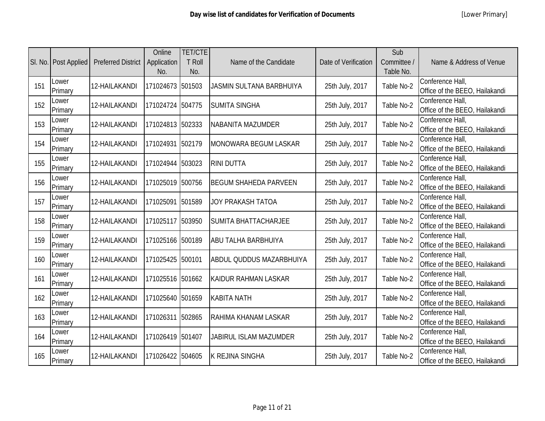|     | SI. No.   Post Applied | <b>Preferred District</b> | Online<br>Application<br>No. | <b>TET/CTE</b><br><b>T</b> Roll<br>No. | Name of the Candidate           | Date of Verification | Sub<br>Committee /<br>Table No. | Name & Address of Venue                            |
|-----|------------------------|---------------------------|------------------------------|----------------------------------------|---------------------------------|----------------------|---------------------------------|----------------------------------------------------|
| 151 | Lower<br>Primary       | 12-HAILAKANDI             | 171024673                    | 501503                                 | <b>JASMIN SULTANA BARBHUIYA</b> | 25th July, 2017      | Table No-2                      | Conference Hall,<br>Office of the BEEO, Hailakandi |
| 152 | Lower<br>Primary       | 12-HAILAKANDI             | 171024724 504775             |                                        | <b>SUMITA SINGHA</b>            | 25th July, 2017      | Table No-2                      | Conference Hall,<br>Office of the BEEO, Hailakandi |
| 153 | Lower<br>Primary       | 12-HAILAKANDI             | 171024813 502333             |                                        | NABANITA MAZUMDER               | 25th July, 2017      | Table No-2                      | Conference Hall,<br>Office of the BEEO, Hailakandi |
| 154 | Lower<br>Primary       | 12-HAILAKANDI             | 171024931 502179             |                                        | MONOWARA BEGUM LASKAR           | 25th July, 2017      | Table No-2                      | Conference Hall,<br>Office of the BEEO, Hailakandi |
| 155 | Lower<br>Primary       | 12-HAILAKANDI             | 171024944 503023             |                                        | <b>RINI DUTTA</b>               | 25th July, 2017      | Table No-2                      | Conference Hall,<br>Office of the BEEO, Hailakandi |
| 156 | Lower<br>Primary       | 12-HAILAKANDI             | 171025019 500756             |                                        | <b>BEGUM SHAHEDA PARVEEN</b>    | 25th July, 2017      | Table No-2                      | Conference Hall,<br>Office of the BEEO, Hailakandi |
| 157 | Lower<br>Primary       | 12-HAILAKANDI             | 171025091                    | 501589                                 | <b>JOY PRAKASH TATOA</b>        | 25th July, 2017      | Table No-2                      | Conference Hall,<br>Office of the BEEO, Hailakandi |
| 158 | Lower<br>Primary       | 12-HAILAKANDI             | 171025117 503950             |                                        | <b>SUMITA BHATTACHARJEE</b>     | 25th July, 2017      | Table No-2                      | Conference Hall,<br>Office of the BEEO, Hailakandi |
| 159 | Lower<br>Primary       | 12-HAILAKANDI             | 171025166 500189             |                                        | <b>ABU TALHA BARBHUIYA</b>      | 25th July, 2017      | Table No-2                      | Conference Hall,<br>Office of the BEEO, Hailakandi |
| 160 | Lower<br>Primary       | 12-HAILAKANDI             | 171025425                    | 500101                                 | <b>ABDUL QUDDUS MAZARBHUIYA</b> | 25th July, 2017      | Table No-2                      | Conference Hall,<br>Office of the BEEO, Hailakandi |
| 161 | Lower<br>Primary       | 12-HAILAKANDI             | 171025516 501662             |                                        | <b>KAIDUR RAHMAN LASKAR</b>     | 25th July, 2017      | Table No-2                      | Conference Hall,<br>Office of the BEEO, Hailakandi |
| 162 | Lower<br>Primary       | 12-HAILAKANDI             | 171025640 501659             |                                        | <b>KABITA NATH</b>              | 25th July, 2017      | Table No-2                      | Conference Hall,<br>Office of the BEEO, Hailakandi |
| 163 | Lower<br>Primary       | 12-HAILAKANDI             | 171026311                    | 502865                                 | RAHIMA KHANAM LASKAR            | 25th July, 2017      | Table No-2                      | Conference Hall,<br>Office of the BEEO, Hailakandi |
| 164 | Lower<br>Primary       | 12-HAILAKANDI             | 171026419 501407             |                                        | <b>JABIRUL ISLAM MAZUMDER</b>   | 25th July, 2017      | Table No-2                      | Conference Hall,<br>Office of the BEEO, Hailakandi |
| 165 | Lower<br>Primary       | 12-HAILAKANDI             | 171026422                    | 504605                                 | <b>K REJINA SINGHA</b>          | 25th July, 2017      | Table No-2                      | Conference Hall,<br>Office of the BEEO, Hailakandi |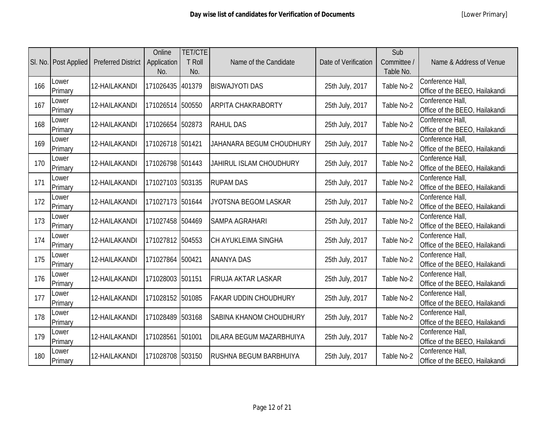|     | SI. No.   Post Applied | <b>Preferred District</b> | Online<br>Application<br>No. | <b>TET/CTE</b><br><b>T Roll</b><br>No. | Name of the Candidate           | Date of Verification | Sub<br>Committee /<br>Table No. | Name & Address of Venue                            |
|-----|------------------------|---------------------------|------------------------------|----------------------------------------|---------------------------------|----------------------|---------------------------------|----------------------------------------------------|
| 166 | Lower<br>Primary       | 12-HAILAKANDI             | 171026435                    | 401379                                 | <b>BISWAJYOTI DAS</b>           | 25th July, 2017      | Table No-2                      | Conference Hall,<br>Office of the BEEO, Hailakandi |
| 167 | Lower<br>Primary       | 12-HAILAKANDI             | 171026514 500550             |                                        | <b>ARPITA CHAKRABORTY</b>       | 25th July, 2017      | Table No-2                      | Conference Hall,<br>Office of the BEEO, Hailakandi |
| 168 | Lower<br>Primary       | 12-HAILAKANDI             | 171026654 502873             |                                        | <b>RAHUL DAS</b>                | 25th July, 2017      | Table No-2                      | Conference Hall,<br>Office of the BEEO, Hailakandi |
| 169 | Lower<br>Primary       | 12-HAILAKANDI             | 171026718 501421             |                                        | JAHANARA BEGUM CHOUDHURY        | 25th July, 2017      | Table No-2                      | Conference Hall,<br>Office of the BEEO, Hailakandi |
| 170 | Lower<br>Primary       | 12-HAILAKANDI             | 171026798 501443             |                                        | <b>JAHIRUL ISLAM CHOUDHURY</b>  | 25th July, 2017      | Table No-2                      | Conference Hall,<br>Office of the BEEO, Hailakandi |
| 171 | Lower<br>Primary       | 12-HAILAKANDI             | 171027103 503135             |                                        | <b>RUPAM DAS</b>                | 25th July, 2017      | Table No-2                      | Conference Hall,<br>Office of the BEEO, Hailakandi |
| 172 | Lower<br>Primary       | 12-HAILAKANDI             | 171027173 501644             |                                        | JYOTSNA BEGOM LASKAR            | 25th July, 2017      | Table No-2                      | Conference Hall,<br>Office of the BEEO, Hailakandi |
| 173 | Lower<br>Primary       | 12-HAILAKANDI             | 171027458 504469             |                                        | <b>SAMPA AGRAHARI</b>           | 25th July, 2017      | Table No-2                      | Conference Hall,<br>Office of the BEEO, Hailakandi |
| 174 | Lower<br>Primary       | 12-HAILAKANDI             | 171027812 504553             |                                        | <b>CH AYUKLEIMA SINGHA</b>      | 25th July, 2017      | Table No-2                      | Conference Hall,<br>Office of the BEEO, Hailakandi |
| 175 | Lower<br>Primary       | 12-HAILAKANDI             | 171027864 500421             |                                        | <b>ANANYA DAS</b>               | 25th July, 2017      | Table No-2                      | Conference Hall,<br>Office of the BEEO, Hailakandi |
| 176 | Lower<br>Primary       | 12-HAILAKANDI             | 171028003 501151             |                                        | <b>FIRUJA AKTAR LASKAR</b>      | 25th July, 2017      | Table No-2                      | Conference Hall,<br>Office of the BEEO, Hailakandi |
| 177 | Lower<br>Primary       | 12-HAILAKANDI             | 171028152 501085             |                                        | <b>FAKAR UDDIN CHOUDHURY</b>    | 25th July, 2017      | Table No-2                      | Conference Hall,<br>Office of the BEEO, Hailakandi |
| 178 | Lower<br>Primary       | 12-HAILAKANDI             | 171028489                    | 503168                                 | <b>SABINA KHANOM CHOUDHURY</b>  | 25th July, 2017      | Table No-2                      | Conference Hall,<br>Office of the BEEO, Hailakandi |
| 179 | Lower<br>Primary       | 12-HAILAKANDI             | 171028561                    | 501001                                 | <b>DILARA BEGUM MAZARBHUIYA</b> | 25th July, 2017      | Table No-2                      | Conference Hall,<br>Office of the BEEO, Hailakandi |
| 180 | Lower<br>Primary       | 12-HAILAKANDI             | 171028708 503150             |                                        | <b>RUSHNA BEGUM BARBHUIYA</b>   | 25th July, 2017      | Table No-2                      | Conference Hall,<br>Office of the BEEO, Hailakandi |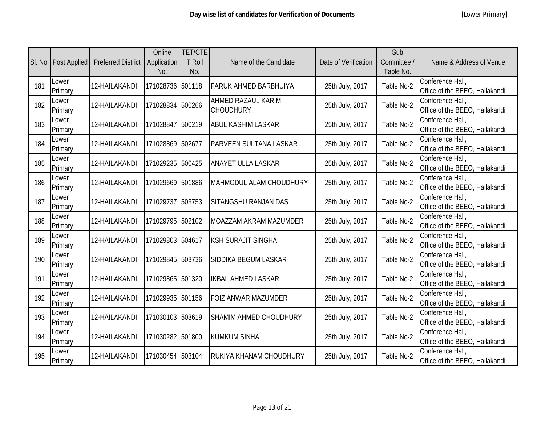|     | SI. No.   Post Applied | <b>Preferred District</b> | Online<br>Application<br>No. | <b>TET/CTE</b><br><b>T Roll</b><br>No. | Name of the Candidate                         | Date of Verification | Sub<br>Committee /<br>Table No. | Name & Address of Venue                            |
|-----|------------------------|---------------------------|------------------------------|----------------------------------------|-----------------------------------------------|----------------------|---------------------------------|----------------------------------------------------|
| 181 | Lower<br>Primary       | 12-HAILAKANDI             | 171028736                    | 501118                                 | <b>IFARUK AHMED BARBHUIYA</b>                 | 25th July, 2017      | Table No-2                      | Conference Hall,<br>Office of the BEEO, Hailakandi |
| 182 | Lower<br>Primary       | 12-HAILAKANDI             | 171028834                    | 500266                                 | <b>AHMED RAZAUL KARIM</b><br><b>CHOUDHURY</b> | 25th July, 2017      | Table No-2                      | Conference Hall,<br>Office of the BEEO, Hailakandi |
| 183 | Lower<br>Primary       | 12-HAILAKANDI             | 171028847                    | 500219                                 | <b>ABUL KASHIM LASKAR</b>                     | 25th July, 2017      | Table No-2                      | Conference Hall,<br>Office of the BEEO, Hailakandi |
| 184 | Lower<br>Primary       | 12-HAILAKANDI             | 171028869                    | 502677                                 | <b>PARVEEN SULTANA LASKAR</b>                 | 25th July, 2017      | Table No-2                      | Conference Hall,<br>Office of the BEEO, Hailakandi |
| 185 | Lower<br>Primary       | 12-HAILAKANDI             | 171029235                    | 500425                                 | <b>ANAYET ULLA LASKAR</b>                     | 25th July, 2017      | Table No-2                      | Conference Hall,<br>Office of the BEEO, Hailakandi |
| 186 | Lower<br>Primary       | 12-HAILAKANDI             | 171029669                    | 501886                                 | MAHMODUL ALAM CHOUDHURY                       | 25th July, 2017      | Table No-2                      | Conference Hall,<br>Office of the BEEO, Hailakandi |
| 187 | Lower<br>Primary       | 12-HAILAKANDI             | 171029737                    | 503753                                 | SITANGSHU RANJAN DAS                          | 25th July, 2017      | Table No-2                      | Conference Hall,<br>Office of the BEEO, Hailakandi |
| 188 | Lower<br>Primary       | 12-HAILAKANDI             | 171029795 502102             |                                        | MOAZZAM AKRAM MAZUMDER                        | 25th July, 2017      | Table No-2                      | Conference Hall,<br>Office of the BEEO, Hailakandi |
| 189 | Lower<br>Primary       | 12-HAILAKANDI             | 171029803                    | 504617                                 | <b>KSH SURAJIT SINGHA</b>                     | 25th July, 2017      | Table No-2                      | Conference Hall,<br>Office of the BEEO, Hailakandi |
| 190 | Lower<br>Primary       | 12-HAILAKANDI             | 171029845                    | 503736                                 | SIDDIKA BEGUM LASKAR                          | 25th July, 2017      | Table No-2                      | Conference Hall,<br>Office of the BEEO, Hailakandi |
| 191 | Lower<br>Primary       | 12-HAILAKANDI             | 171029865                    | 501320                                 | <b>IKBAL AHMED LASKAR</b>                     | 25th July, 2017      | Table No-2                      | Conference Hall,<br>Office of the BEEO, Hailakandi |
| 192 | Lower<br>Primary       | 12-HAILAKANDI             | 171029935                    | 501156                                 | <b>FOIZ ANWAR MAZUMDER</b>                    | 25th July, 2017      | Table No-2                      | Conference Hall,<br>Office of the BEEO, Hailakandi |
| 193 | Lower<br>Primary       | 12-HAILAKANDI             | 171030103 503619             |                                        | <b>SHAMIM AHMED CHOUDHURY</b>                 | 25th July, 2017      | Table No-2                      | Conference Hall,<br>Office of the BEEO, Hailakandi |
| 194 | Lower<br>Primary       | 12-HAILAKANDI             | 171030282                    | 501800                                 | <b>KUMKUM SINHA</b>                           | 25th July, 2017      | Table No-2                      | Conference Hall,<br>Office of the BEEO, Hailakandi |
| 195 | Lower<br>Primary       | 12-HAILAKANDI             | 171030454                    | 503104                                 | <b>RUKIYA KHANAM CHOUDHURY</b>                | 25th July, 2017      | Table No-2                      | Conference Hall,<br>Office of the BEEO, Hailakandi |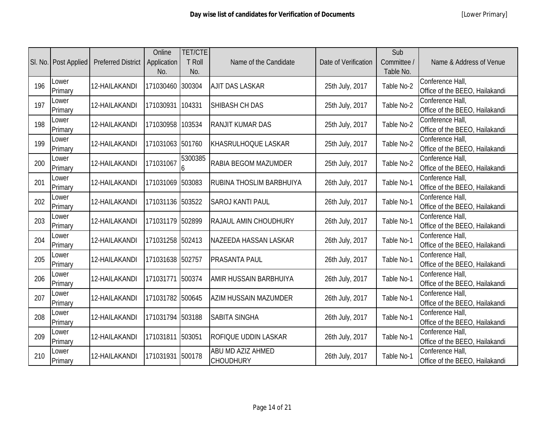|     | SI. No.   Post Applied | <b>Preferred District</b> | Online<br>Application<br>No. | <b>TET/CTE</b><br><b>T Roll</b><br>No. | Name of the Candidate                        | Date of Verification | Sub<br>Committee /<br>Table No. | Name & Address of Venue                            |
|-----|------------------------|---------------------------|------------------------------|----------------------------------------|----------------------------------------------|----------------------|---------------------------------|----------------------------------------------------|
| 196 | Lower<br>Primary       | 12-HAILAKANDI             | 171030460                    | 300304                                 | <b>AJIT DAS LASKAR</b>                       | 25th July, 2017      | Table No-2                      | Conference Hall,<br>Office of the BEEO, Hailakandi |
| 197 | Lower<br>Primary       | 12-HAILAKANDI             | 171030931                    | 104331                                 | SHIBASH CH DAS                               | 25th July, 2017      | Table No-2                      | Conference Hall,<br>Office of the BEEO, Hailakandi |
| 198 | Lower<br>Primary       | 12-HAILAKANDI             | 171030958                    | 103534                                 | <b>RANJIT KUMAR DAS</b>                      | 25th July, 2017      | Table No-2                      | Conference Hall,<br>Office of the BEEO, Hailakandi |
| 199 | Lower<br>Primary       | 12-HAILAKANDI             | 171031063 501760             |                                        | <b>KHASRULHOQUE LASKAR</b>                   | 25th July, 2017      | Table No-2                      | Conference Hall,<br>Office of the BEEO, Hailakandi |
| 200 | Lower<br>Primary       | 12-HAILAKANDI             | 171031067                    | 5300385                                | <b>RABIA BEGOM MAZUMDER</b>                  | 25th July, 2017      | Table No-2                      | Conference Hall,<br>Office of the BEEO, Hailakandi |
| 201 | Lower<br>Primary       | 12-HAILAKANDI             | 171031069 503083             |                                        | <b>RUBINA THOSLIM BARBHUIYA</b>              | 26th July, 2017      | Table No-1                      | Conference Hall,<br>Office of the BEEO, Hailakandi |
| 202 | Lower<br>Primary       | 12-HAILAKANDI             | 171031136 503522             |                                        | <b>SAROJ KANTI PAUL</b>                      | 26th July, 2017      | Table No-1                      | Conference Hall,<br>Office of the BEEO, Hailakandi |
| 203 | Lower<br>Primary       | 12-HAILAKANDI             | 171031179 502899             |                                        | <b>RAJAUL AMIN CHOUDHURY</b>                 | 26th July, 2017      | Table No-1                      | Conference Hall,<br>Office of the BEEO, Hailakandi |
| 204 | Lower<br>Primary       | 12-HAILAKANDI             | 171031258 502413             |                                        | NAZEEDA HASSAN LASKAR                        | 26th July, 2017      | Table No-1                      | Conference Hall,<br>Office of the BEEO, Hailakandi |
| 205 | Lower<br>Primary       | 12-HAILAKANDI             | 171031638 502757             |                                        | <b>PRASANTA PAUL</b>                         | 26th July, 2017      | Table No-1                      | Conference Hall,<br>Office of the BEEO, Hailakandi |
| 206 | Lower<br>Primary       | 12-HAILAKANDI             | 171031771                    | 500374                                 | AMIR HUSSAIN BARBHUIYA                       | 26th July, 2017      | Table No-1                      | Conference Hall,<br>Office of the BEEO, Hailakandi |
| 207 | Lower<br>Primary       | 12-HAILAKANDI             | 171031782 500645             |                                        | <b>AZIM HUSSAIN MAZUMDER</b>                 | 26th July, 2017      | Table No-1                      | Conference Hall,<br>Office of the BEEO, Hailakandi |
| 208 | Lower<br>Primary       | 12-HAILAKANDI             | 171031794 503188             |                                        | <b>SABITA SINGHA</b>                         | 26th July, 2017      | Table No-1                      | Conference Hall,<br>Office of the BEEO, Hailakandi |
| 209 | Lower<br>Primary       | 12-HAILAKANDI             | 171031811                    | 503051                                 | <b>ROFIQUE UDDIN LASKAR</b>                  | 26th July, 2017      | Table No-1                      | Conference Hall,<br>Office of the BEEO, Hailakandi |
| 210 | Lower<br>Primary       | 12-HAILAKANDI             | 171031931 500178             |                                        | <b>ABU MD AZIZ AHMED</b><br><b>CHOUDHURY</b> | 26th July, 2017      | Table No-1                      | Conference Hall,<br>Office of the BEEO, Hailakandi |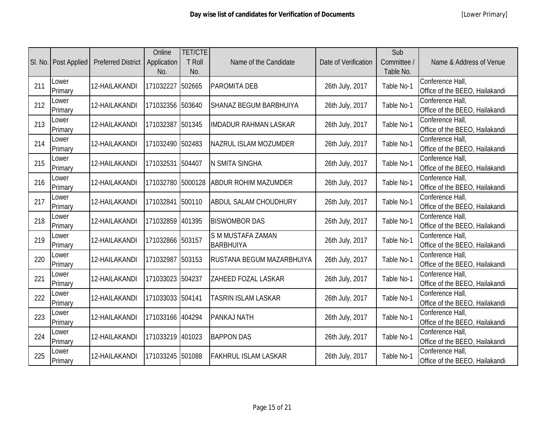|     | SI. No.   Post Applied | <b>Preferred District</b> | Online<br>Application<br>No. | <b>TET/CTE</b><br><b>T Roll</b><br>No. | Name of the Candidate                 | Date of Verification | Sub<br>Committee /<br>Table No. | Name & Address of Venue                            |
|-----|------------------------|---------------------------|------------------------------|----------------------------------------|---------------------------------------|----------------------|---------------------------------|----------------------------------------------------|
| 211 | Lower<br>Primary       | 12-HAILAKANDI             | 171032227                    | 502665                                 | <b>PAROMITA DEB</b>                   | 26th July, 2017      | Table No-1                      | Conference Hall,<br>Office of the BEEO, Hailakandi |
| 212 | Lower<br>Primary       | 12-HAILAKANDI             | 171032356                    | 503640                                 | <b>SHANAZ BEGUM BARBHUIYA</b>         | 26th July, 2017      | Table No-1                      | Conference Hall,<br>Office of the BEEO, Hailakandi |
| 213 | Lower<br>Primary       | 12-HAILAKANDI             | 171032387                    | 501345                                 | <b>IMDADUR RAHMAN LASKAR</b>          | 26th July, 2017      | Table No-1                      | Conference Hall,<br>Office of the BEEO, Hailakandi |
| 214 | Lower<br>Primary       | 12-HAILAKANDI             | 171032490 502483             |                                        | NAZRUL ISLAM MOZUMDER                 | 26th July, 2017      | Table No-1                      | Conference Hall,<br>Office of the BEEO, Hailakandi |
| 215 | Lower<br>Primary       | 12-HAILAKANDI             | 171032531                    | 504407                                 | <b>N SMITA SINGHA</b>                 | 26th July, 2017      | Table No-1                      | Conference Hall,<br>Office of the BEEO, Hailakandi |
| 216 | Lower<br>Primary       | 12-HAILAKANDI             | 171032780                    | 5000128                                | <b>ABDUR ROHIM MAZUMDER</b>           | 26th July, 2017      | Table No-1                      | Conference Hall,<br>Office of the BEEO, Hailakandi |
| 217 | Lower<br>Primary       | 12-HAILAKANDI             | 171032841                    | 500110                                 | <b>ABDUL SALAM CHOUDHURY</b>          | 26th July, 2017      | Table No-1                      | Conference Hall,<br>Office of the BEEO, Hailakandi |
| 218 | Lower<br>Primary       | 12-HAILAKANDI             | 171032859 401395             |                                        | <b>BISWOMBOR DAS</b>                  | 26th July, 2017      | Table No-1                      | Conference Hall,<br>Office of the BEEO, Hailakandi |
| 219 | Lower<br>Primary       | 12-HAILAKANDI             | 171032866 503157             |                                        | S M MUSTAFA ZAMAN<br><b>BARBHUIYA</b> | 26th July, 2017      | Table No-1                      | Conference Hall,<br>Office of the BEEO, Hailakandi |
| 220 | Lower<br>Primary       | 12-HAILAKANDI             | 171032987                    | 503153                                 | <b>RUSTANA BEGUM MAZARBHUIYA</b>      | 26th July, 2017      | Table No-1                      | Conference Hall,<br>Office of the BEEO, Hailakandi |
| 221 | Lower<br>Primary       | 12-HAILAKANDI             | 171033023                    | 504237                                 | ZAHEED FOZAL LASKAR                   | 26th July, 2017      | Table No-1                      | Conference Hall,<br>Office of the BEEO, Hailakandi |
| 222 | Lower<br>Primary       | 12-HAILAKANDI             | 171033033 504141             |                                        | <b>TASRIN ISLAM LASKAR</b>            | 26th July, 2017      | Table No-1                      | Conference Hall,<br>Office of the BEEO, Hailakandi |
| 223 | Lower<br>Primary       | 12-HAILAKANDI             | 171033166 404294             |                                        | <b>PANKAJ NATH</b>                    | 26th July, 2017      | Table No-1                      | Conference Hall,<br>Office of the BEEO, Hailakandi |
| 224 | Lower<br>Primary       | 12-HAILAKANDI             | 171033219                    | 401023                                 | <b>BAPPON DAS</b>                     | 26th July, 2017      | Table No-1                      | Conference Hall,<br>Office of the BEEO, Hailakandi |
| 225 | Lower<br>Primary       | 12-HAILAKANDI             | 171033245                    | 501088                                 | <b>FAKHRUL ISLAM LASKAR</b>           | 26th July, 2017      | Table No-1                      | Conference Hall,<br>Office of the BEEO, Hailakandi |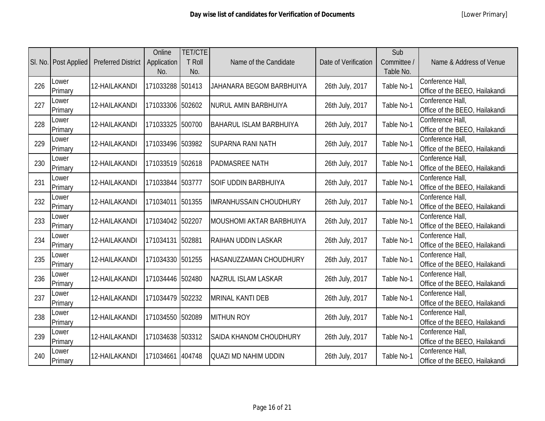|     | SI. No.   Post Applied | <b>Preferred District</b> | Online<br>Application<br>No. | <b>TET/CTE</b><br><b>T Roll</b><br>No. | Name of the Candidate           | Date of Verification | Sub<br>Committee /<br>Table No. | Name & Address of Venue                            |
|-----|------------------------|---------------------------|------------------------------|----------------------------------------|---------------------------------|----------------------|---------------------------------|----------------------------------------------------|
| 226 | Lower<br>Primary       | 12-HAILAKANDI             | 171033288                    | 501413                                 | <b>JAHANARA BEGOM BARBHUIYA</b> | 26th July, 2017      | Table No-1                      | Conference Hall,<br>Office of the BEEO, Hailakandi |
| 227 | Lower<br>Primary       | 12-HAILAKANDI             | 171033306 502602             |                                        | <b>NURUL AMIN BARBHUIYA</b>     | 26th July, 2017      | Table No-1                      | Conference Hall,<br>Office of the BEEO, Hailakandi |
| 228 | Lower<br>Primary       | 12-HAILAKANDI             | 171033325                    | 500700                                 | <b>BAHARUL ISLAM BARBHUIYA</b>  | 26th July, 2017      | Table No-1                      | Conference Hall,<br>Office of the BEEO, Hailakandi |
| 229 | Lower<br>Primary       | 12-HAILAKANDI             | 171033496 503982             |                                        | <b>SUPARNA RANI NATH</b>        | 26th July, 2017      | Table No-1                      | Conference Hall,<br>Office of the BEEO, Hailakandi |
| 230 | Lower<br>Primary       | 12-HAILAKANDI             | 171033519 502618             |                                        | <b>PADMASREE NATH</b>           | 26th July, 2017      | Table No-1                      | Conference Hall,<br>Office of the BEEO, Hailakandi |
| 231 | Lower<br>Primary       | 12-HAILAKANDI             | 171033844 503777             |                                        | <b>SOIF UDDIN BARBHUIYA</b>     | 26th July, 2017      | Table No-1                      | Conference Hall,<br>Office of the BEEO, Hailakandi |
| 232 | Lower<br>Primary       | 12-HAILAKANDI             | 171034011                    | 501355                                 | <b>IMRANHUSSAIN CHOUDHURY</b>   | 26th July, 2017      | Table No-1                      | Conference Hall,<br>Office of the BEEO, Hailakandi |
| 233 | Lower<br>Primary       | 12-HAILAKANDI             | 171034042 502207             |                                        | <b>MOUSHOMI AKTAR BARBHUIYA</b> | 26th July, 2017      | Table No-1                      | Conference Hall,<br>Office of the BEEO, Hailakandi |
| 234 | Lower<br>Primary       | 12-HAILAKANDI             | 171034131                    | 502881                                 | <b>RAIHAN UDDIN LASKAR</b>      | 26th July, 2017      | Table No-1                      | Conference Hall,<br>Office of the BEEO, Hailakandi |
| 235 | Lower<br>Primary       | 12-HAILAKANDI             | 171034330 501255             |                                        | <b>HASANUZZAMAN CHOUDHURY</b>   | 26th July, 2017      | Table No-1                      | Conference Hall,<br>Office of the BEEO, Hailakandi |
| 236 | Lower<br>Primary       | 12-HAILAKANDI             | 171034446 502480             |                                        | <b>NAZRUL ISLAM LASKAR</b>      | 26th July, 2017      | Table No-1                      | Conference Hall,<br>Office of the BEEO, Hailakandi |
| 237 | Lower<br>Primary       | 12-HAILAKANDI             | 171034479 502232             |                                        | <b>MRINAL KANTI DEB</b>         | 26th July, 2017      | Table No-1                      | Conference Hall,<br>Office of the BEEO, Hailakandi |
| 238 | Lower<br>Primary       | 12-HAILAKANDI             | 171034550 502089             |                                        | <b>MITHUN ROY</b>               | 26th July, 2017      | Table No-1                      | Conference Hall,<br>Office of the BEEO, Hailakandi |
| 239 | Lower<br>Primary       | 12-HAILAKANDI             | 171034638 503312             |                                        | <b>SAIDA KHANOM CHOUDHURY</b>   | 26th July, 2017      | Table No-1                      | Conference Hall,<br>Office of the BEEO, Hailakandi |
| 240 | Lower<br>Primary       | 12-HAILAKANDI             | 171034661                    | 404748                                 | <b>QUAZI MD NAHIM UDDIN</b>     | 26th July, 2017      | Table No-1                      | Conference Hall,<br>Office of the BEEO, Hailakandi |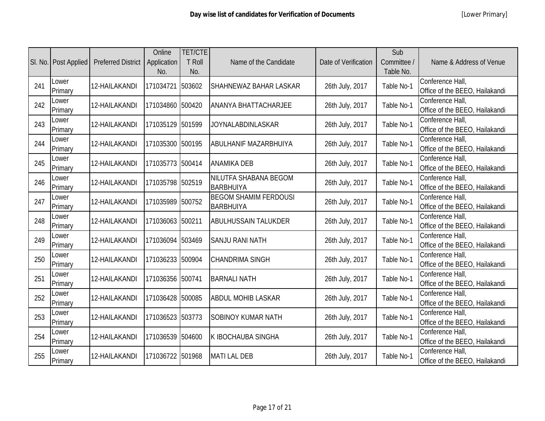|     | SI. No.   Post Applied | <b>Preferred District</b> | Online<br>Application<br>No. | <b>TET/CTE</b><br><b>T</b> Roll<br>No. | Name of the Candidate                            | Date of Verification | Sub<br>Committee /<br>Table No. | Name & Address of Venue                            |
|-----|------------------------|---------------------------|------------------------------|----------------------------------------|--------------------------------------------------|----------------------|---------------------------------|----------------------------------------------------|
| 241 | Lower<br>Primary       | 12-HAILAKANDI             | 171034721                    | 503602                                 | <b>SHAHNEWAZ BAHAR LASKAR</b>                    | 26th July, 2017      | Table No-1                      | Conference Hall,<br>Office of the BEEO, Hailakandi |
| 242 | Lower<br>Primary       | 12-HAILAKANDI             | 171034860 500420             |                                        | <b>ANANYA BHATTACHARJEE</b>                      | 26th July, 2017      | Table No-1                      | Conference Hall,<br>Office of the BEEO, Hailakandi |
| 243 | Lower<br>Primary       | 12-HAILAKANDI             | 171035129 501599             |                                        | <b>JOYNALABDINLASKAR</b>                         | 26th July, 2017      | Table No-1                      | Conference Hall,<br>Office of the BEEO, Hailakandi |
| 244 | Lower<br>Primary       | 12-HAILAKANDI             | 171035300 500195             |                                        | <b>ABULHANIF MAZARBHUIYA</b>                     | 26th July, 2017      | Table No-1                      | Conference Hall,<br>Office of the BEEO, Hailakandi |
| 245 | Lower<br>Primary       | 12-HAILAKANDI             | 171035773 500414             |                                        | <b>ANAMIKA DEB</b>                               | 26th July, 2017      | Table No-1                      | Conference Hall,<br>Office of the BEEO, Hailakandi |
| 246 | Lower<br>Primary       | 12-HAILAKANDI             | 171035798 502519             |                                        | NILUTFA SHABANA BEGOM<br>BARBHUIYA               | 26th July, 2017      | Table No-1                      | Conference Hall,<br>Office of the BEEO, Hailakandi |
| 247 | Lower<br>Primary       | 12-HAILAKANDI             | 171035989 500752             |                                        | <b>BEGOM SHAMIM FERDOUSI</b><br><b>BARBHUIYA</b> | 26th July, 2017      | Table No-1                      | Conference Hall,<br>Office of the BEEO, Hailakandi |
| 248 | Lower<br>Primary       | 12-HAILAKANDI             | 171036063 500211             |                                        | <b>ABULHUSSAIN TALUKDER</b>                      | 26th July, 2017      | Table No-1                      | Conference Hall,<br>Office of the BEEO, Hailakandi |
| 249 | Lower<br>Primary       | 12-HAILAKANDI             | 171036094 503469             |                                        | <b>SANJU RANI NATH</b>                           | 26th July, 2017      | Table No-1                      | Conference Hall,<br>Office of the BEEO, Hailakandi |
| 250 | Lower<br>Primary       | 12-HAILAKANDI             | 171036233 500904             |                                        | <b>CHANDRIMA SINGH</b>                           | 26th July, 2017      | Table No-1                      | Conference Hall,<br>Office of the BEEO, Hailakandi |
| 251 | Lower<br>Primary       | 12-HAILAKANDI             | 171036356 500741             |                                        | <b>BARNALI NATH</b>                              | 26th July, 2017      | Table No-1                      | Conference Hall,<br>Office of the BEEO, Hailakandi |
| 252 | Lower<br>Primary       | 12-HAILAKANDI             | 171036428 500085             |                                        | <b>ABDUL MOHIB LASKAR</b>                        | 26th July, 2017      | Table No-1                      | Conference Hall,<br>Office of the BEEO, Hailakandi |
| 253 | Lower<br>Primary       | 12-HAILAKANDI             | 171036523                    | 503773                                 | <b>SOBINOY KUMAR NATH</b>                        | 26th July, 2017      | Table No-1                      | Conference Hall,<br>Office of the BEEO, Hailakandi |
| 254 | Lower<br>Primary       | 12-HAILAKANDI             | 171036539 504600             |                                        | <b>K IBOCHAUBA SINGHA</b>                        | 26th July, 2017      | Table No-1                      | Conference Hall,<br>Office of the BEEO, Hailakandi |
| 255 | Lower<br>Primary       | 12-HAILAKANDI             | 171036722 501968             |                                        | <b>MATI LAL DEB</b>                              | 26th July, 2017      | Table No-1                      | Conference Hall,<br>Office of the BEEO, Hailakandi |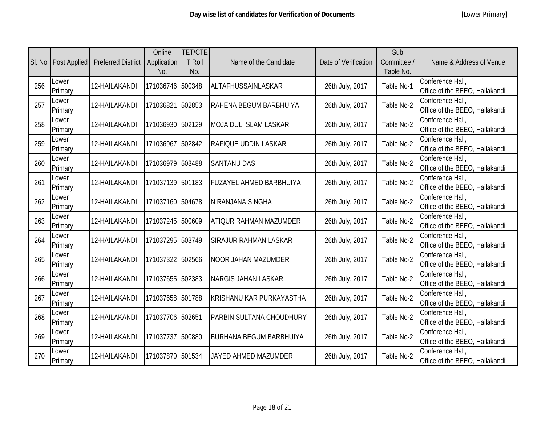|     | SI. No.   Post Applied | <b>Preferred District</b> | Online<br>Application<br>No. | <b>TET/CTE</b><br><b>T Roll</b><br>No. | Name of the Candidate          | Date of Verification | Sub<br>Committee /<br>Table No. | Name & Address of Venue                            |
|-----|------------------------|---------------------------|------------------------------|----------------------------------------|--------------------------------|----------------------|---------------------------------|----------------------------------------------------|
| 256 | Lower<br>Primary       | 12-HAILAKANDI             | 171036746 500348             |                                        | ALTAFHUSSAINLASKAR             | 26th July, 2017      | Table No-1                      | Conference Hall,<br>Office of the BEEO, Hailakandi |
| 257 | Lower<br>Primary       | 12-HAILAKANDI             | 171036821                    | 502853                                 | RAHENA BEGUM BARBHUIYA         | 26th July, 2017      | Table No-2                      | Conference Hall,<br>Office of the BEEO, Hailakandi |
| 258 | Lower<br>Primary       | 12-HAILAKANDI             | 171036930 502129             |                                        | <b>MOJAIDUL ISLAM LASKAR</b>   | 26th July, 2017      | Table No-2                      | Conference Hall,<br>Office of the BEEO, Hailakandi |
| 259 | Lower<br>Primary       | 12-HAILAKANDI             | 171036967                    | 502842                                 | <b>RAFIQUE UDDIN LASKAR</b>    | 26th July, 2017      | Table No-2                      | Conference Hall,<br>Office of the BEEO, Hailakandi |
| 260 | Lower<br>Primary       | 12-HAILAKANDI             | 171036979 503488             |                                        | <b>SANTANU DAS</b>             | 26th July, 2017      | Table No-2                      | Conference Hall,<br>Office of the BEEO, Hailakandi |
| 261 | Lower<br>Primary       | 12-HAILAKANDI             | 171037139 501183             |                                        | <b>FUZAYEL AHMED BARBHUIYA</b> | 26th July, 2017      | Table No-2                      | Conference Hall,<br>Office of the BEEO, Hailakandi |
| 262 | Lower<br>Primary       | 12-HAILAKANDI             | 171037160 504678             |                                        | N RANJANA SINGHA               | 26th July, 2017      | Table No-2                      | Conference Hall,<br>Office of the BEEO, Hailakandi |
| 263 | Lower<br>Primary       | 12-HAILAKANDI             | 171037245 500609             |                                        | <b>ATIQUR RAHMAN MAZUMDER</b>  | 26th July, 2017      | Table No-2                      | Conference Hall,<br>Office of the BEEO, Hailakandi |
| 264 | Lower<br>Primary       | 12-HAILAKANDI             | 171037295 503749             |                                        | <b>SIRAJUR RAHMAN LASKAR</b>   | 26th July, 2017      | Table No-2                      | Conference Hall,<br>Office of the BEEO, Hailakandi |
| 265 | Lower<br>Primary       | 12-HAILAKANDI             | 171037322 502566             |                                        | <b>NOOR JAHAN MAZUMDER</b>     | 26th July, 2017      | Table No-2                      | Conference Hall,<br>Office of the BEEO, Hailakandi |
| 266 | Lower<br>Primary       | 12-HAILAKANDI             | 171037655 502383             |                                        | <b>NARGIS JAHAN LASKAR</b>     | 26th July, 2017      | Table No-2                      | Conference Hall,<br>Office of the BEEO, Hailakandi |
| 267 | Lower<br>Primary       | 12-HAILAKANDI             | 171037658 501788             |                                        | KRISHANU KAR PURKAYASTHA       | 26th July, 2017      | Table No-2                      | Conference Hall,<br>Office of the BEEO, Hailakandi |
| 268 | Lower<br>Primary       | 12-HAILAKANDI             | 171037706 502651             |                                        | PARBIN SULTANA CHOUDHURY       | 26th July, 2017      | Table No-2                      | Conference Hall,<br>Office of the BEEO, Hailakandi |
| 269 | Lower<br>Primary       | 12-HAILAKANDI             | 171037737                    | 500880                                 | <b>BURHANA BEGUM BARBHUIYA</b> | 26th July, 2017      | Table No-2                      | Conference Hall,<br>Office of the BEEO, Hailakandi |
| 270 | Lower<br>Primary       | 12-HAILAKANDI             | 171037870 501534             |                                        | <b>JAYED AHMED MAZUMDER</b>    | 26th July, 2017      | Table No-2                      | Conference Hall,<br>Office of the BEEO, Hailakandi |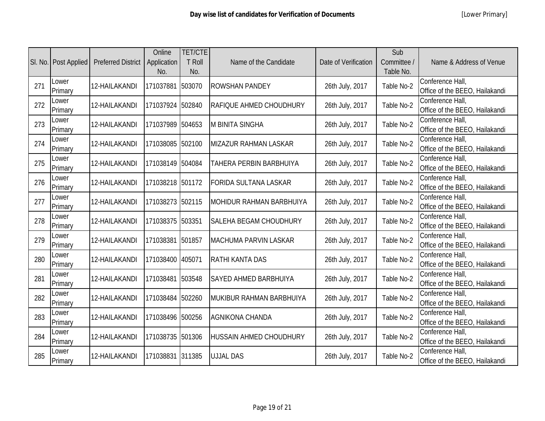|     | SI. No. Post Applied | <b>Preferred District</b> | Online<br>Application<br>No. | <b>TET/CTE</b><br>T Roll<br>No. | Name of the Candidate           | Date of Verification | Sub<br>Committee /<br>Table No. | Name & Address of Venue                            |
|-----|----------------------|---------------------------|------------------------------|---------------------------------|---------------------------------|----------------------|---------------------------------|----------------------------------------------------|
| 271 | Lower<br>Primary     | 12-HAILAKANDI             | 171037881                    | 503070                          | <b>ROWSHAN PANDEY</b>           | 26th July, 2017      | Table No-2                      | Conference Hall,<br>Office of the BEEO, Hailakandi |
| 272 | Lower<br>Primary     | 12-HAILAKANDI             | 171037924                    | 502840                          | RAFIQUE AHMED CHOUDHURY         | 26th July, 2017      | Table No-2                      | Conference Hall,<br>Office of the BEEO, Hailakandi |
| 273 | Lower<br>Primary     | 12-HAILAKANDI             | 171037989                    | 504653                          | <b>M BINITA SINGHA</b>          | 26th July, 2017      | Table No-2                      | Conference Hall,<br>Office of the BEEO, Hailakandi |
| 274 | Lower<br>Primary     | 12-HAILAKANDI             | 171038085                    | 502100                          | <b>MIZAZUR RAHMAN LASKAR</b>    | 26th July, 2017      | Table No-2                      | Conference Hall,<br>Office of the BEEO, Hailakandi |
| 275 | Lower<br>Primary     | 12-HAILAKANDI             | 171038149                    | 504084                          | TAHERA PERBIN BARBHUIYA         | 26th July, 2017      | Table No-2                      | Conference Hall,<br>Office of the BEEO, Hailakandi |
| 276 | Lower<br>Primary     | 12-HAILAKANDI             | 171038218 501172             |                                 | <b>FORIDA SULTANA LASKAR</b>    | 26th July, 2017      | Table No-2                      | Conference Hall,<br>Office of the BEEO, Hailakandi |
| 277 | Lower<br>Primary     | 12-HAILAKANDI             | 171038273                    | 502115                          | <b>MOHIDUR RAHMAN BARBHUIYA</b> | 26th July, 2017      | Table No-2                      | Conference Hall,<br>Office of the BEEO, Hailakandi |
| 278 | Lower<br>Primary     | 12-HAILAKANDI             | 171038375 503351             |                                 | <b>SALEHA BEGAM CHOUDHURY</b>   | 26th July, 2017      | Table No-2                      | Conference Hall,<br>Office of the BEEO, Hailakandi |
| 279 | Lower<br>Primary     | 12-HAILAKANDI             | 171038381                    | 501857                          | <b>MACHUMA PARVIN LASKAR</b>    | 26th July, 2017      | Table No-2                      | Conference Hall,<br>Office of the BEEO, Hailakandi |
| 280 | Lower<br>Primary     | 12-HAILAKANDI             | 171038400                    | 405071                          | <b>RATHI KANTA DAS</b>          | 26th July, 2017      | Table No-2                      | Conference Hall,<br>Office of the BEEO, Hailakandi |
| 281 | Lower<br>Primary     | 12-HAILAKANDI             | 171038481                    | 503548                          | <b>SAYED AHMED BARBHUIYA</b>    | 26th July, 2017      | Table No-2                      | Conference Hall,<br>Office of the BEEO, Hailakandi |
| 282 | Lower<br>Primary     | 12-HAILAKANDI             | 171038484                    | 502260                          | MUKIBUR RAHMAN BARBHUIYA        | 26th July, 2017      | Table No-2                      | Conference Hall,<br>Office of the BEEO, Hailakandi |
| 283 | Lower<br>Primary     | 12-HAILAKANDI             | 171038496                    | 500256                          | <b>AGNIKONA CHANDA</b>          | 26th July, 2017      | Table No-2                      | Conference Hall,<br>Office of the BEEO, Hailakandi |
| 284 | Lower<br>Primary     | 12-HAILAKANDI             | 171038735                    | 501306                          | <b>HUSSAIN AHMED CHOUDHURY</b>  | 26th July, 2017      | Table No-2                      | Conference Hall,<br>Office of the BEEO, Hailakandi |
| 285 | Lower<br>Primary     | 12-HAILAKANDI             | 171038831 311385             |                                 | <b>UJJAL DAS</b>                | 26th July, 2017      | Table No-2                      | Conference Hall,<br>Office of the BEEO, Hailakandi |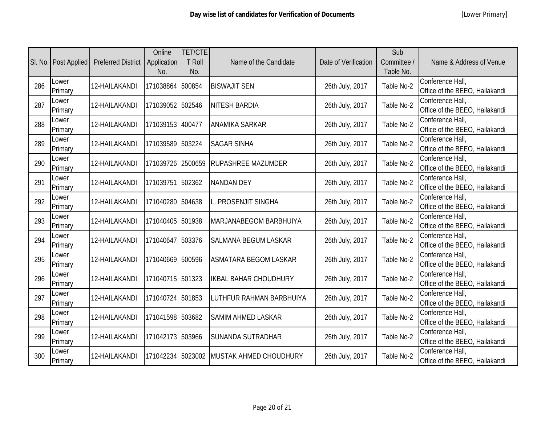|     | SI. No. Post Applied | <b>Preferred District</b> | Online<br>Application<br>No. | <b>TET/CTE</b><br><b>T Roll</b><br>No. | Name of the Candidate        | Date of Verification | Sub<br>Committee /<br>Table No. | Name & Address of Venue                            |
|-----|----------------------|---------------------------|------------------------------|----------------------------------------|------------------------------|----------------------|---------------------------------|----------------------------------------------------|
| 286 | Lower<br>Primary     | 12-HAILAKANDI             | 171038864 500854             |                                        | <b>BISWAJIT SEN</b>          | 26th July, 2017      | Table No-2                      | Conference Hall,<br>Office of the BEEO, Hailakandi |
| 287 | Lower<br>Primary     | 12-HAILAKANDI             | 171039052 502546             |                                        | <b>NITESH BARDIA</b>         | 26th July, 2017      | Table No-2                      | Conference Hall,<br>Office of the BEEO, Hailakandi |
| 288 | Lower<br>Primary     | 12-HAILAKANDI             | 171039153 400477             |                                        | <b>ANAMIKA SARKAR</b>        | 26th July, 2017      | Table No-2                      | Conference Hall,<br>Office of the BEEO, Hailakandi |
| 289 | Lower<br>Primary     | 12-HAILAKANDI             | 171039589 503224             |                                        | <b>SAGAR SINHA</b>           | 26th July, 2017      | Table No-2                      | Conference Hall,<br>Office of the BEEO, Hailakandi |
| 290 | Lower<br>Primary     | 12-HAILAKANDI             | 171039726 2500659            |                                        | <b>RUPASHREE MAZUMDER</b>    | 26th July, 2017      | Table No-2                      | Conference Hall,<br>Office of the BEEO, Hailakandi |
| 291 | Lower<br>Primary     | 12-HAILAKANDI             | 171039751 502362             |                                        | <b>NANDAN DEY</b>            | 26th July, 2017      | Table No-2                      | Conference Hall,<br>Office of the BEEO, Hailakandi |
| 292 | Lower<br>Primary     | 12-HAILAKANDI             | 171040280 504638             |                                        | L. PROSENJIT SINGHA          | 26th July, 2017      | Table No-2                      | Conference Hall,<br>Office of the BEEO, Hailakandi |
| 293 | Lower<br>Primary     | 12-HAILAKANDI             | 171040405 501938             |                                        | MARJANABEGOM BARBHUIYA       | 26th July, 2017      | Table No-2                      | Conference Hall,<br>Office of the BEEO, Hailakandi |
| 294 | Lower<br>Primary     | 12-HAILAKANDI             | 171040647 503376             |                                        | <b>SALMANA BEGUM LASKAR</b>  | 26th July, 2017      | Table No-2                      | Conference Hall,<br>Office of the BEEO, Hailakandi |
| 295 | Lower<br>Primary     | 12-HAILAKANDI             | 171040669 500596             |                                        | <b>ASMATARA BEGOM LASKAR</b> | 26th July, 2017      | Table No-2                      | Conference Hall,<br>Office of the BEEO, Hailakandi |
| 296 | Lower<br>Primary     | 12-HAILAKANDI             | 171040715 501323             |                                        | <b>IKBAL BAHAR CHOUDHURY</b> | 26th July, 2017      | Table No-2                      | Conference Hall,<br>Office of the BEEO, Hailakandi |
| 297 | Lower<br>Primary     | 12-HAILAKANDI             | 171040724 501853             |                                        | LUTHFUR RAHMAN BARBHUIYA     | 26th July, 2017      | Table No-2                      | Conference Hall,<br>Office of the BEEO, Hailakandi |
| 298 | Lower<br>Primary     | 12-HAILAKANDI             | 171041598 503682             |                                        | <b>SAMIM AHMED LASKAR</b>    | 26th July, 2017      | Table No-2                      | Conference Hall,<br>Office of the BEEO, Hailakandi |
| 299 | Lower<br>Primary     | 12-HAILAKANDI             | 171042173 503966             |                                        | <b>SUNANDA SUTRADHAR</b>     | 26th July, 2017      | Table No-2                      | Conference Hall,<br>Office of the BEEO, Hailakandi |
| 300 | Lower<br>Primary     | 12-HAILAKANDI             | 171042234 5023002            |                                        | MUSTAK AHMED CHOUDHURY       | 26th July, 2017      | Table No-2                      | Conference Hall,<br>Office of the BEEO, Hailakandi |